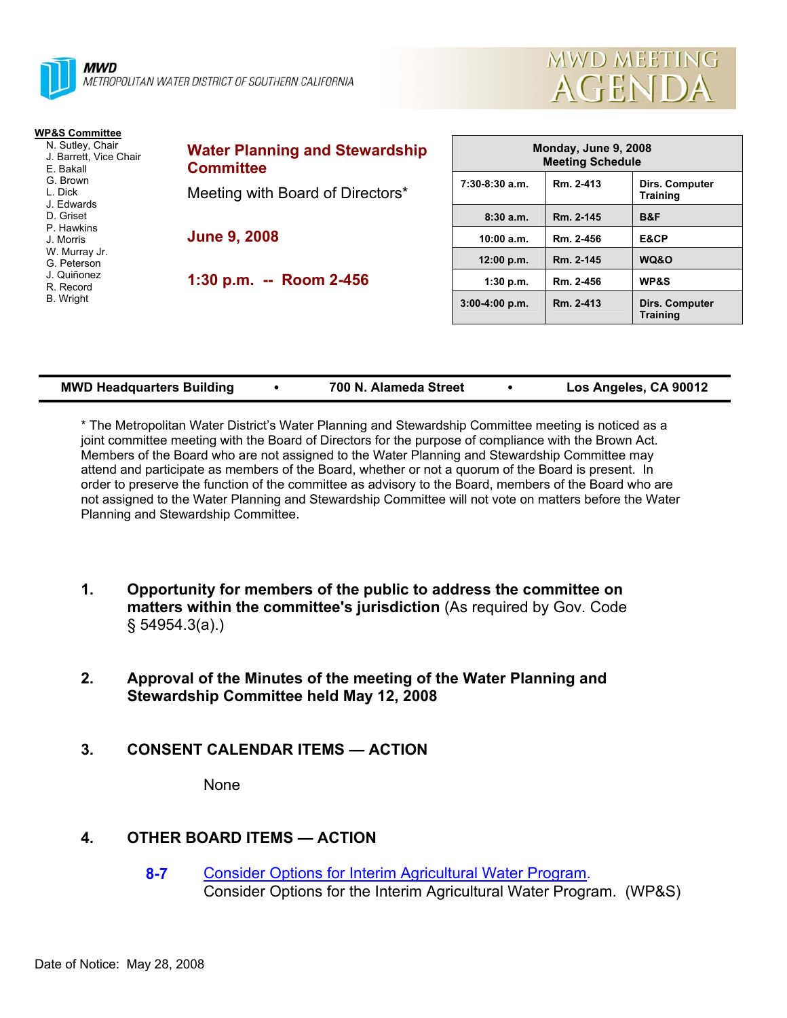



| <b>WP&amp;S Committee</b>                                                                    |                                                                                               |                                                 |           |                                          |
|----------------------------------------------------------------------------------------------|-----------------------------------------------------------------------------------------------|-------------------------------------------------|-----------|------------------------------------------|
| N. Sutley, Chair<br>J. Barrett, Vice Chair<br>E. Bakall<br>G. Brown<br>L. Dick<br>J. Edwards | <b>Water Planning and Stewardship</b><br><b>Committee</b><br>Meeting with Board of Directors* | Monday, June 9, 2008<br><b>Meeting Schedule</b> |           |                                          |
|                                                                                              |                                                                                               | $7:30-8:30$ a.m.                                | Rm. 2-413 | <b>Dirs. Computer</b><br><b>Training</b> |
| D. Griset<br>P. Hawkins                                                                      |                                                                                               | 8:30a.m.                                        | Rm. 2-145 | B&F                                      |
| J. Morris                                                                                    | <b>June 9, 2008</b>                                                                           | 10:00 a.m.                                      | Rm. 2-456 | E&CP                                     |
| W. Murray Jr.<br>G. Peterson                                                                 |                                                                                               | 12:00 p.m.                                      | Rm. 2-145 | WQ&O                                     |
| J. Quiñonez<br>R. Record<br>B. Wright                                                        | 1:30 p.m. -- Room 2-456                                                                       | 1:30 p.m.                                       | Rm. 2-456 | <b>WP&amp;S</b>                          |
|                                                                                              |                                                                                               | $3:00-4:00 p.m.$                                | Rm. 2-413 | <b>Dirs. Computer</b><br><b>Training</b> |

| <b>MWD Headquarters Building</b> | 700 N. Alameda Street | Los Angeles, CA 90012 |
|----------------------------------|-----------------------|-----------------------|

\* The Metropolitan Water District's Water Planning and Stewardship Committee meeting is noticed as a joint committee meeting with the Board of Directors for the purpose of compliance with the Brown Act. Members of the Board who are not assigned to the Water Planning and Stewardship Committee may attend and participate as members of the Board, whether or not a quorum of the Board is present. In order to preserve the function of the committee as advisory to the Board, members of the Board who are not assigned to the Water Planning and Stewardship Committee will not vote on matters before the Water Planning and Stewardship Committee.

- **1. Opportunity for members of the public to address the committee on matters within the committee's jurisdiction** (As required by Gov. Code § 54954.3(a).)
- **2. Approval of the Minutes of the meeting of the Water Planning and Stewardship Committee held May 12, 2008**
- **3. CONSENT CALENDAR ITEMS ACTION**

None

# **4. OTHER BOARD ITEMS — ACTION**

**8-7** Consider Options for Interim Agricultural Water Program. Consider Options for the Interim Agricultural Water Program. (WP&S)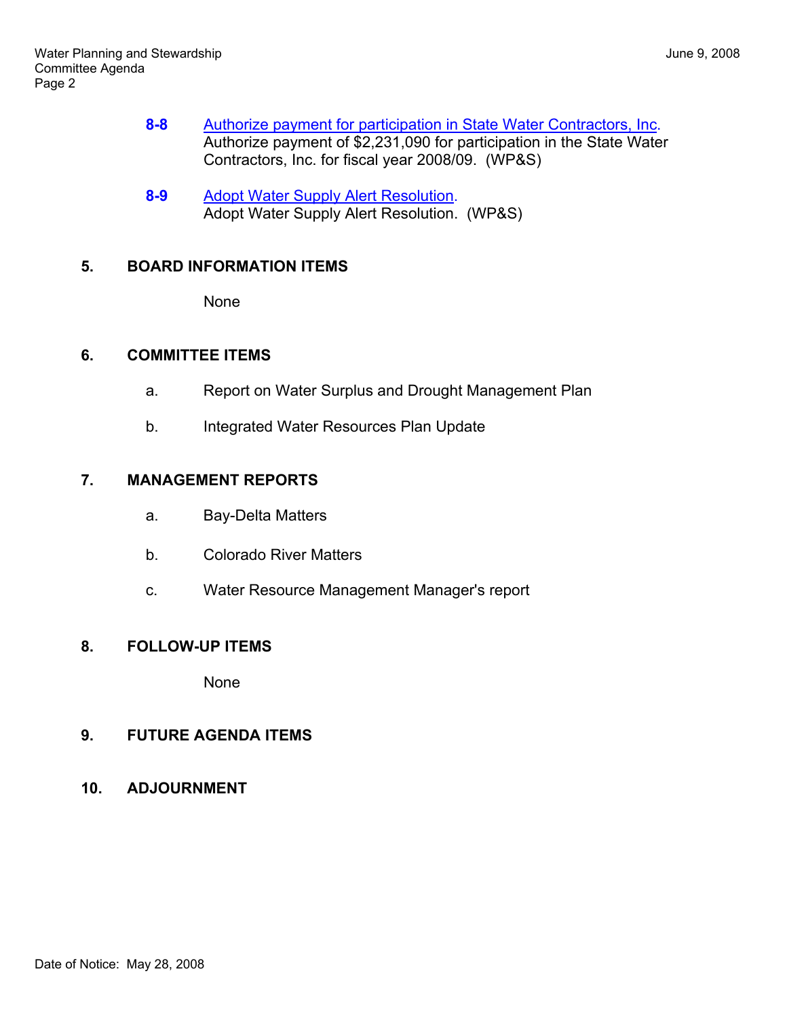- **8-8** Authorize payment for participation in State Water Contractors, Inc. Authorize payment of \$2,231,090 for participation in the State Water Contractors, Inc. for fiscal year 2008/09. (WP&S)
- **8-9** Adopt Water Supply Alert Resolution. Adopt Water Supply Alert Resolution. (WP&S)

### **5. BOARD INFORMATION ITEMS**

None

# **6. COMMITTEE ITEMS**

- a. Report on Water Surplus and Drought Management Plan
- b. Integrated Water Resources Plan Update

### **7. MANAGEMENT REPORTS**

- a. Bay-Delta Matters
- b. Colorado River Matters
- c. Water Resource Management Manager's report

#### **8. FOLLOW-UP ITEMS**

None

# **9. FUTURE AGENDA ITEMS**

**10. ADJOURNMENT**